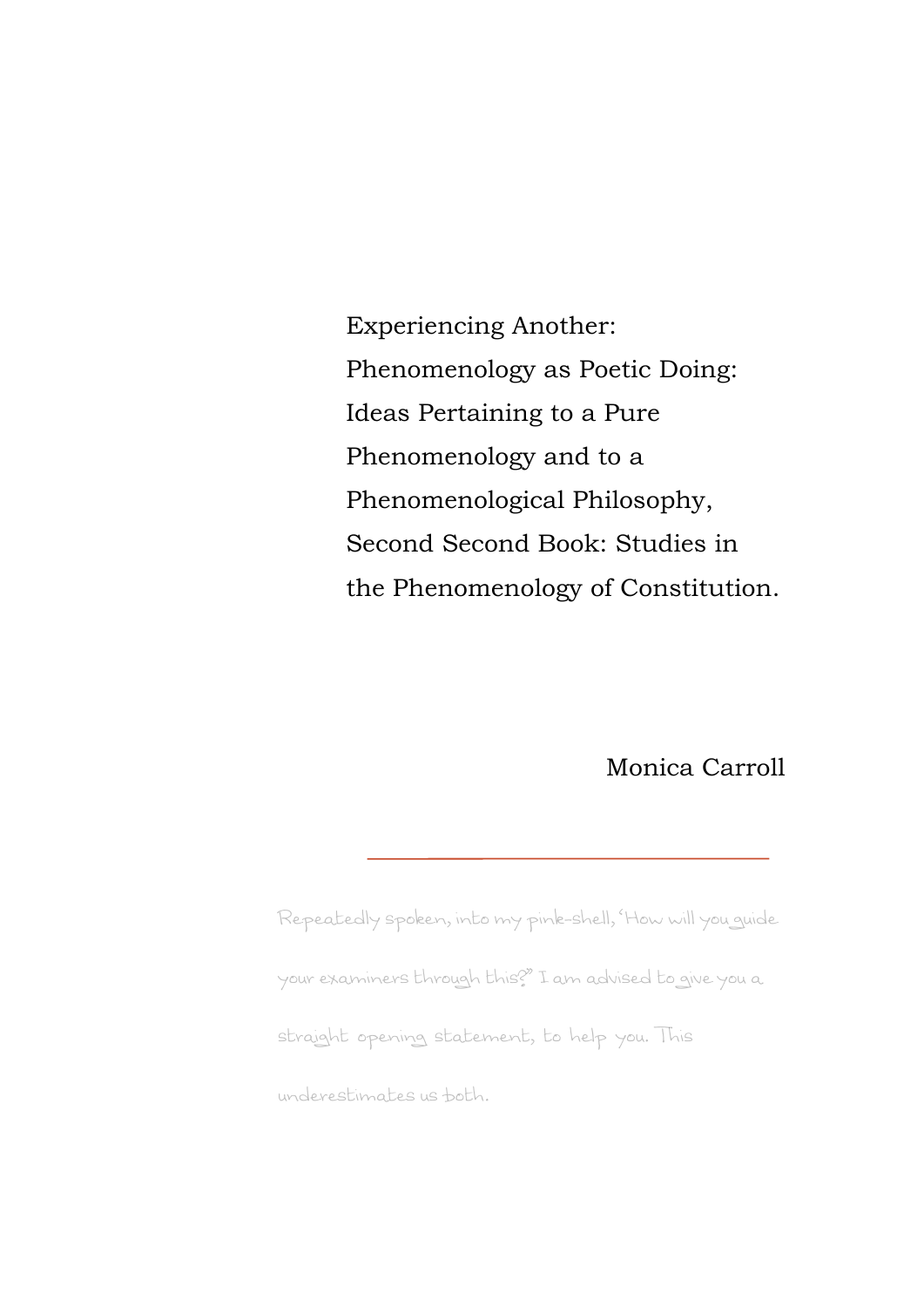Experiencing Another: Phenomenology as Poetic Doing: Ideas Pertaining to a Pure Phenomenology and to a Phenomenological Philosophy, Second Second Book: Studies in the Phenomenology of Constitution.

Monica Carroll

Repeatedly spoken, into my pink-shell, 'How will you guide your examiners through this?" I am advised to give you a straight opening statement, to help you. This underestimates us both.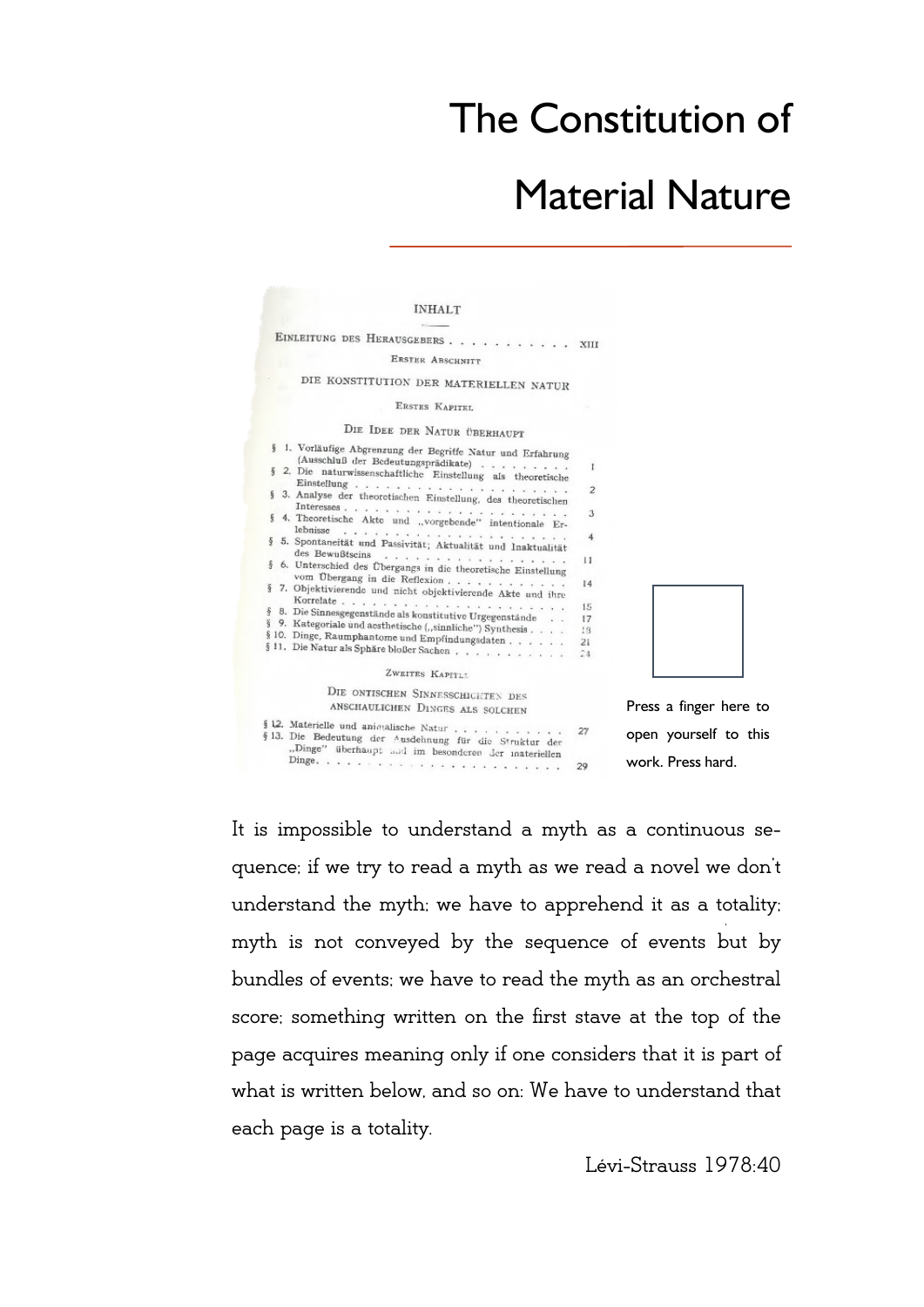## The Constitution of

## Material Nature

| <b>INHALT</b>                                                                                                                                                      |          |                        |
|--------------------------------------------------------------------------------------------------------------------------------------------------------------------|----------|------------------------|
| EINLEITUNG DES HERAUSGEBERS XIII                                                                                                                                   |          |                        |
| <b>ERSTER ABSCHNITT</b>                                                                                                                                            |          |                        |
| DIE KONSTITUTION DER MATERIELLEN NATUR                                                                                                                             |          |                        |
| ERSTES KAPITEL                                                                                                                                                     |          |                        |
| DIE IDEE DER NATUR ÜBERHAUPT                                                                                                                                       |          |                        |
|                                                                                                                                                                    |          |                        |
| § 1. Vorläufige Abgrenzung der Begriffe Natur und Erfahrung<br>(Ausschluß der Bedeutungsprädikate)<br>§ 2. Die naturwissenschaftliche Einstellung als theoretische | I        |                        |
| § 3. Analyse der theoretischen Einstellung, des theoretischen                                                                                                      | 2        |                        |
| § 4. Theoretische Akto und "vorgebende" intentionale Er-                                                                                                           | З        |                        |
| lebnisse<br>§ 5. Spontaneität und Passivität; Aktualität und Inaktualität                                                                                          | 4        |                        |
| des Bewußtscins<br>. <i>.</i> .<br>§ 6. Unterschied des Übergangs in die theoretische Einstellung                                                                  | 11       |                        |
| vom Übergang in die Reflexion<br>§ 7. Objektivierende und nicht objektivierende Akte und ihre                                                                      | 14       |                        |
| § 8. Die Sinnesgegenstände als konstitutive Urgegenstände                                                                                                          | 15       |                        |
| § 9. Kategoriale und aesthetische ("sinnliche") Synthesis                                                                                                          | 17<br>18 |                        |
| § 10. Dinge, Raumphantome und Empfindungsdaten                                                                                                                     | 21       |                        |
| § 11. Die Natur als Sphäre bloßer Sachen                                                                                                                           | 24       |                        |
| ZWEITES KAPITII                                                                                                                                                    |          |                        |
| DIE ONTISCHEN SINNESSCHICHTEN DES                                                                                                                                  |          |                        |
| ANSCHAULICHEN DINGES ALS SOLCHEN                                                                                                                                   |          | Press a finger here to |
| § 12. Materielle und aniculische Natur<br>§ 13. Die Bedeutung der Ausdehnung für die Struktur der                                                                  | 27       | open yourself to this  |
| "Dinge" überhaupt and im besonderen der materiellen                                                                                                                | 29       | work. Press hard.      |

It is impossible to understand a myth as a continuous sequence; if we try to read a myth as we read a novel we don't understand the myth; we have to apprehend it as a totality; myth is not conveyed by the sequence of events but by bundles of events; we have to read the myth as an orchestral score; something written on the first stave at the top of the page acquires meaning only if one considers that it is part of what is written below, and so on: We have to understand that each page is a totality.

Lévi-Strauss 1978:40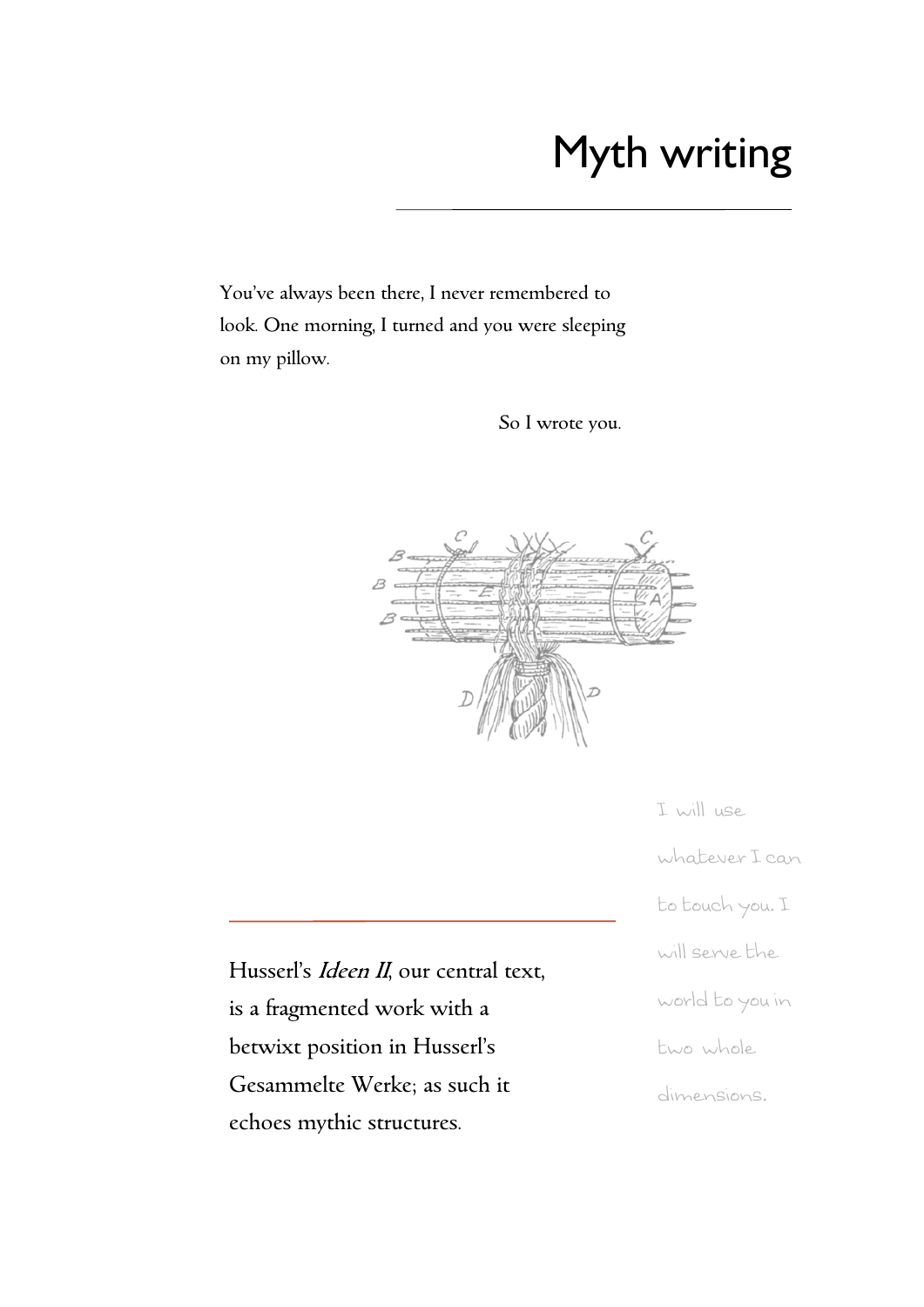# Myth writing

You've always been there, I never remembered to look. One morning, I turned and you were sleeping on my pillow.

So I wrote you.



I will use whatever I can to touch you. I will serve the world to you in two whole dimensions.

Husserl's *Ideen II*, our central text, is a fragmented work with a betwixt position in Husserl's Gesammelte Werke; as such it echoes mythic structures.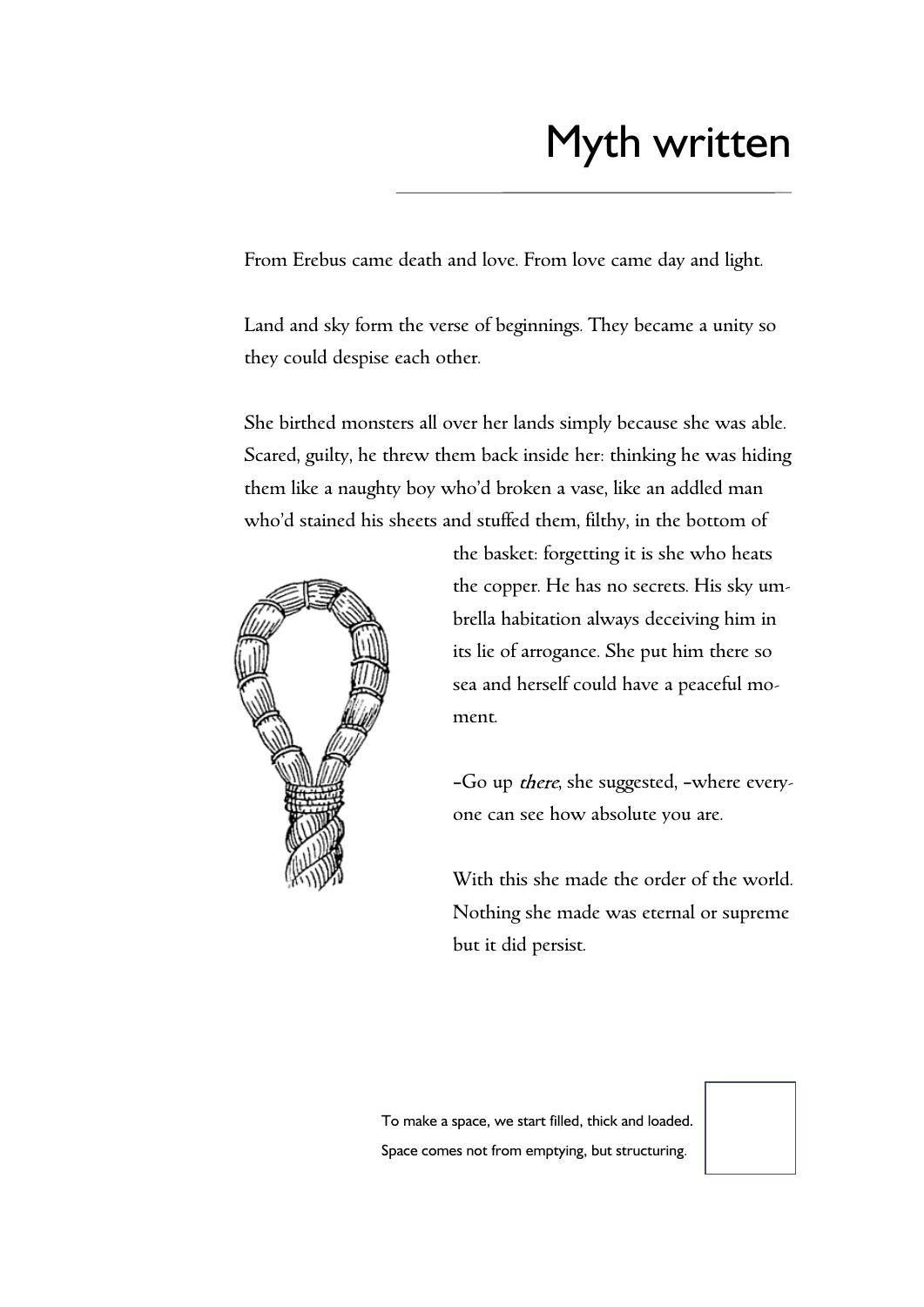# Myth written

From Erebus came death and love. From love came day and light.

Land and sky form the verse of beginnings. They became a unity so they could despise each other.

She birthed monsters all over her lands simply because she was able. Scared, guilty, he threw them back inside her: thinking he was hiding them like a naughty boy who'd broken a vase, like an addled man who'd stained his sheets and stuffed them, filthy, in the bottom of



the basket: forgetting it is she who heats the copper. He has no secrets. His sky umbrella habitation always deceiving him in its lie of arrogance. She put him there so sea and herself could have a peaceful moment.

-Go up there, she suggested, -where everyone can see how absolute you are.

With this she made the order of the world. Nothing she made was eternal or supreme but it did persist.

To make a space, we start filled, thick and loaded. Space comes not from emptying, but structuring*.*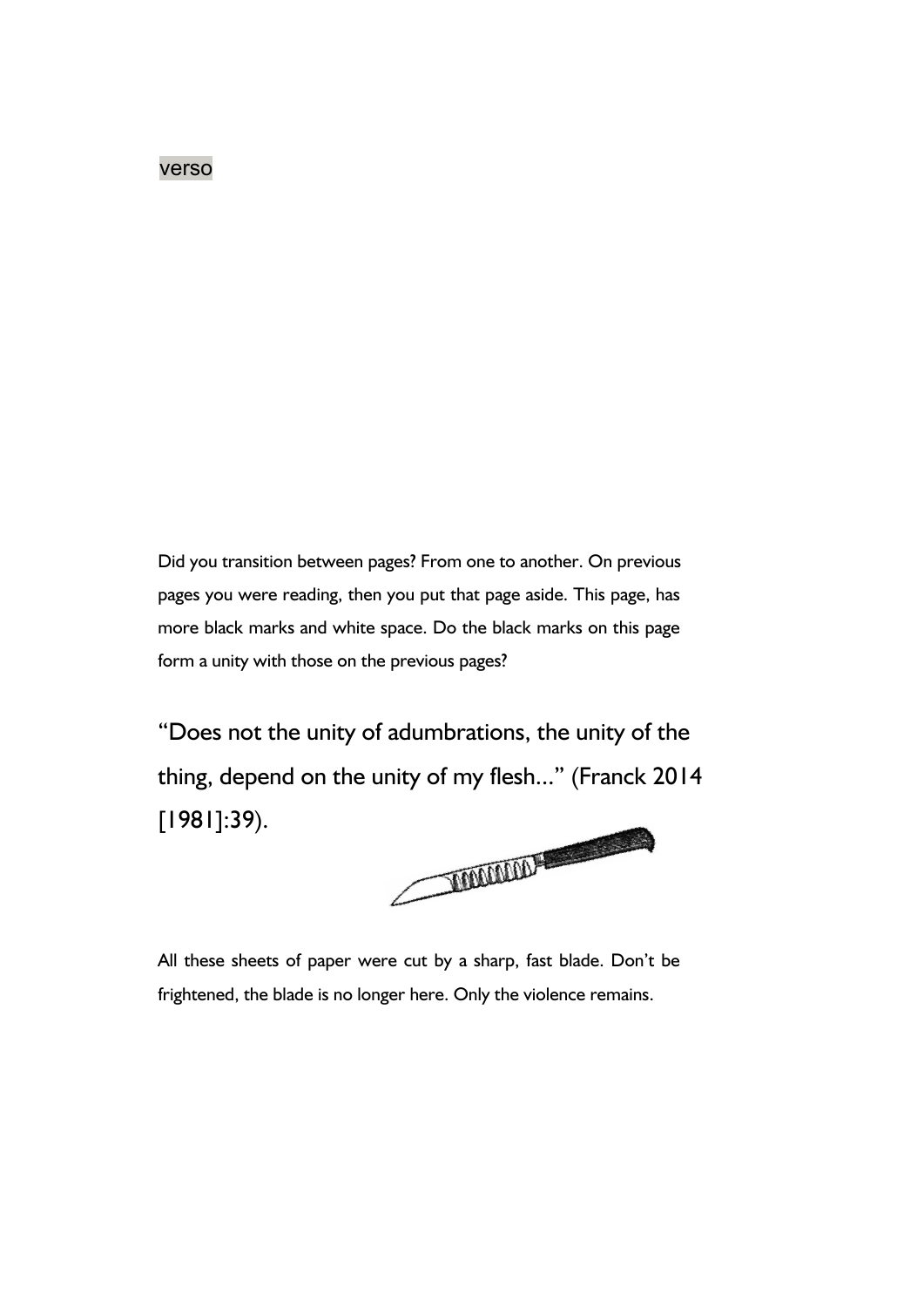#### verso

Did you transition between pages? From one to another. On previous pages you were reading, then you put that page aside. This page, has more black marks and white space. Do the black marks on this page form a unity with those on the previous pages?

"Does not the unity of adumbrations, the unity of the thing, depend on the unity of my flesh..." (Franck 2014 [1981]:39).



All these sheets of paper were cut by a sharp, fast blade. Don't be frightened, the blade is no longer here. Only the violence remains.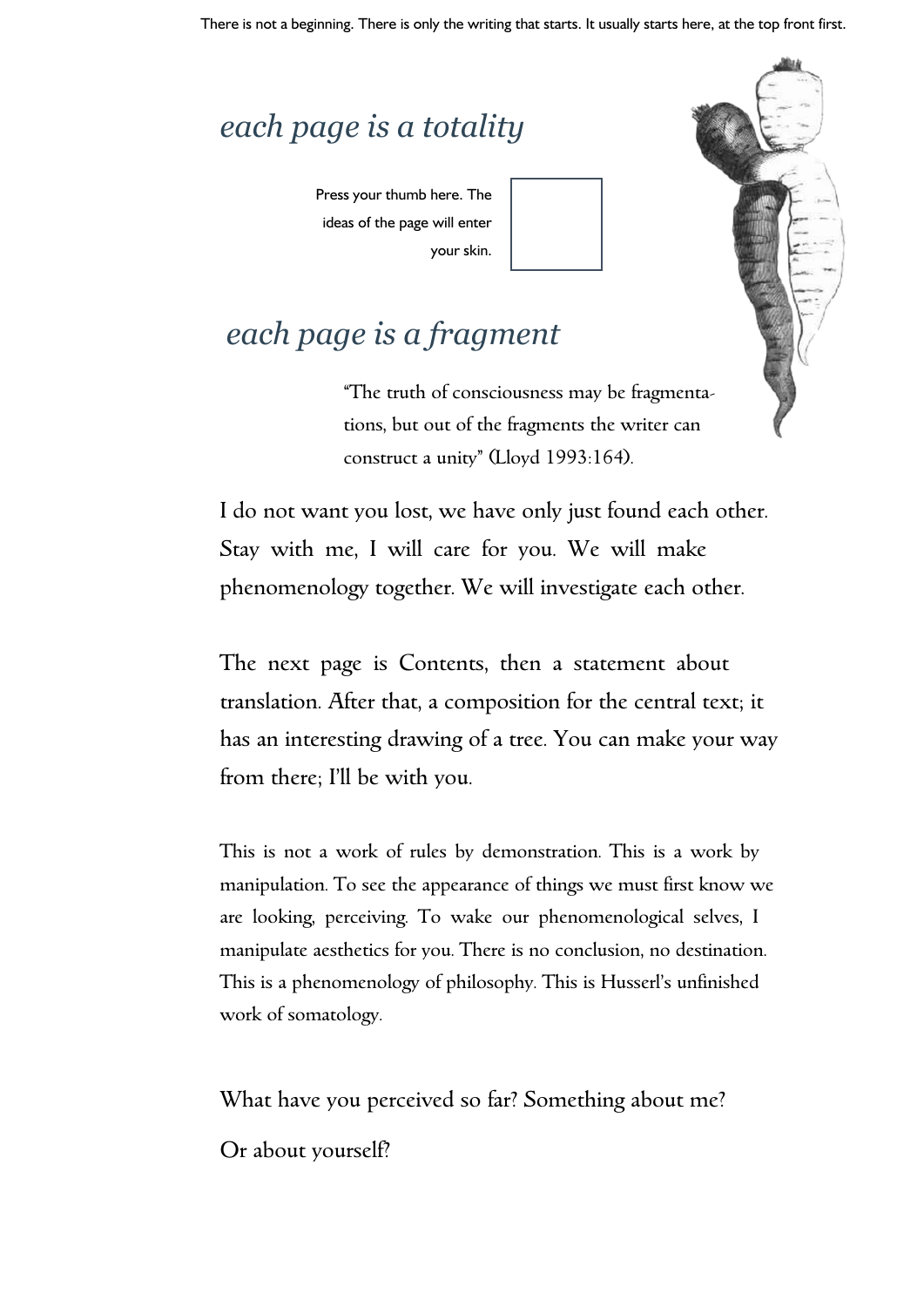### *each page is a totality*

Press your thumb here. The ideas of the page will enter your skin.



#### *each page is a fragment*

"The truth of consciousness may be fragmentations, but out of the fragments the writer can construct a unity" (Lloyd 1993:164).

I do not want you lost, we have only just found each other. Stay with me, I will care for you. We will make phenomenology together. We will investigate each other.

The next page is Contents, then a statement about translation. After that, a composition for the central text; it has an interesting drawing of a tree. You can make your way from there; I'll be with you.

This is not a work of rules by demonstration. This is a work by manipulation. To see the appearance of things we must first know we are looking, perceiving. To wake our phenomenological selves, I manipulate aesthetics for you. There is no conclusion, no destination. This is a phenomenology of philosophy. This is Husserl's unfinished work of somatology.

What have you perceived so far? Something about me?

Or about yourself?